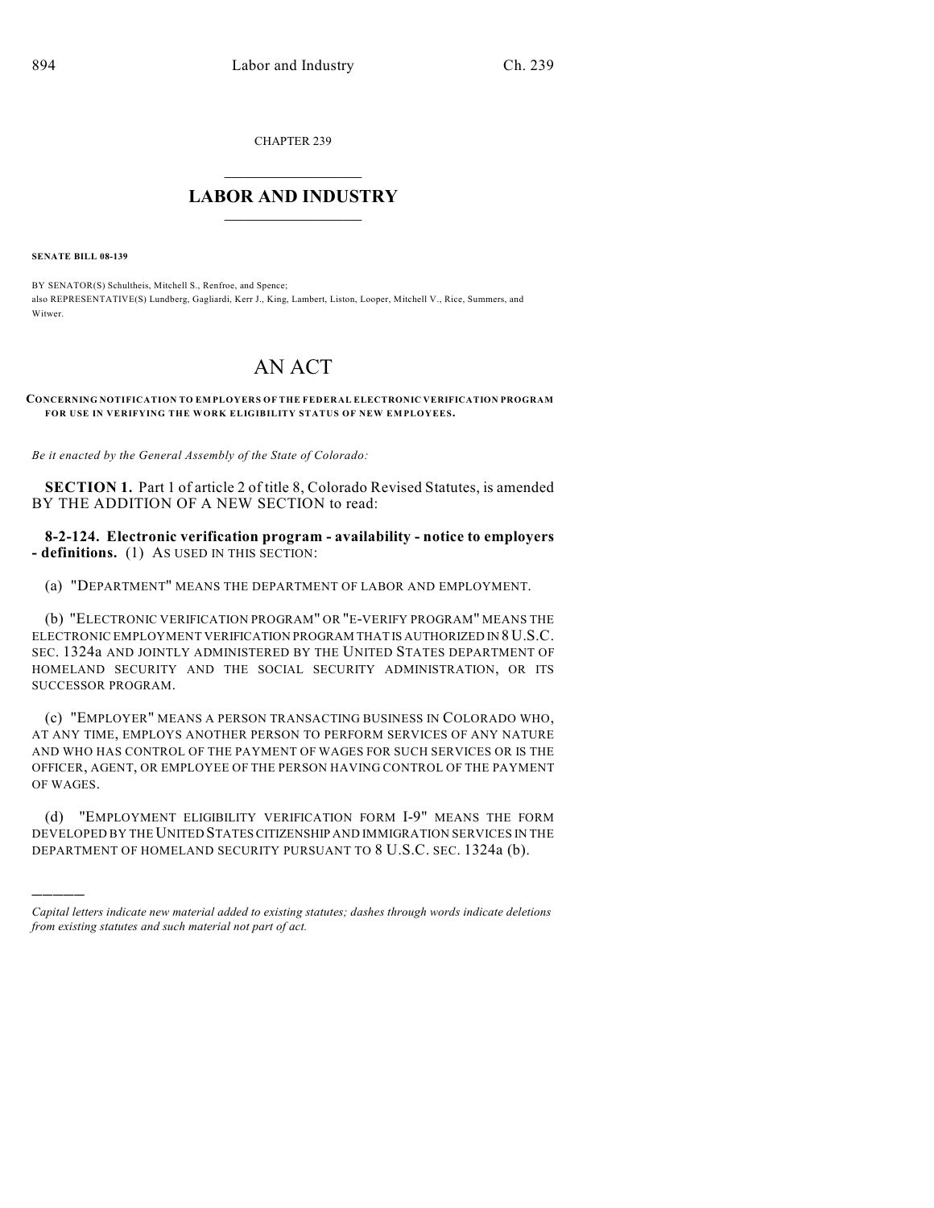CHAPTER 239

## $\overline{\phantom{a}}$  . The set of the set of the set of the set of the set of the set of the set of the set of the set of the set of the set of the set of the set of the set of the set of the set of the set of the set of the set o **LABOR AND INDUSTRY**  $\frac{1}{\sqrt{2}}$  ,  $\frac{1}{\sqrt{2}}$  ,  $\frac{1}{\sqrt{2}}$  ,  $\frac{1}{\sqrt{2}}$  ,  $\frac{1}{\sqrt{2}}$  ,  $\frac{1}{\sqrt{2}}$

**SENATE BILL 08-139**

)))))

BY SENATOR(S) Schultheis, Mitchell S., Renfroe, and Spence; also REPRESENTATIVE(S) Lundberg, Gagliardi, Kerr J., King, Lambert, Liston, Looper, Mitchell V., Rice, Summers, and Witwer

## AN ACT

**CONCERNING NOTIFICATION TO EM PLOYERS OF THE FEDERAL ELECTRONIC VERIFICATION PROGRAM FOR USE IN VERIFYING THE WORK ELIGIBILITY STATUS OF NEW EMPLOYEES.**

*Be it enacted by the General Assembly of the State of Colorado:*

**SECTION 1.** Part 1 of article 2 of title 8, Colorado Revised Statutes, is amended BY THE ADDITION OF A NEW SECTION to read:

**8-2-124. Electronic verification program - availability - notice to employers - definitions.** (1) AS USED IN THIS SECTION:

(a) "DEPARTMENT" MEANS THE DEPARTMENT OF LABOR AND EMPLOYMENT.

(b) "ELECTRONIC VERIFICATION PROGRAM" OR "E-VERIFY PROGRAM" MEANS THE ELECTRONIC EMPLOYMENT VERIFICATION PROGRAM THAT IS AUTHORIZED IN 8U.S.C. SEC. 1324a AND JOINTLY ADMINISTERED BY THE UNITED STATES DEPARTMENT OF HOMELAND SECURITY AND THE SOCIAL SECURITY ADMINISTRATION, OR ITS SUCCESSOR PROGRAM.

(c) "EMPLOYER" MEANS A PERSON TRANSACTING BUSINESS IN COLORADO WHO, AT ANY TIME, EMPLOYS ANOTHER PERSON TO PERFORM SERVICES OF ANY NATURE AND WHO HAS CONTROL OF THE PAYMENT OF WAGES FOR SUCH SERVICES OR IS THE OFFICER, AGENT, OR EMPLOYEE OF THE PERSON HAVING CONTROL OF THE PAYMENT OF WAGES.

(d) "EMPLOYMENT ELIGIBILITY VERIFICATION FORM I-9" MEANS THE FORM DEVELOPED BY THE UNITED STATES CITIZENSHIP AND IMMIGRATION SERVICES IN THE DEPARTMENT OF HOMELAND SECURITY PURSUANT TO 8 U.S.C. SEC. 1324a (b).

*Capital letters indicate new material added to existing statutes; dashes through words indicate deletions from existing statutes and such material not part of act.*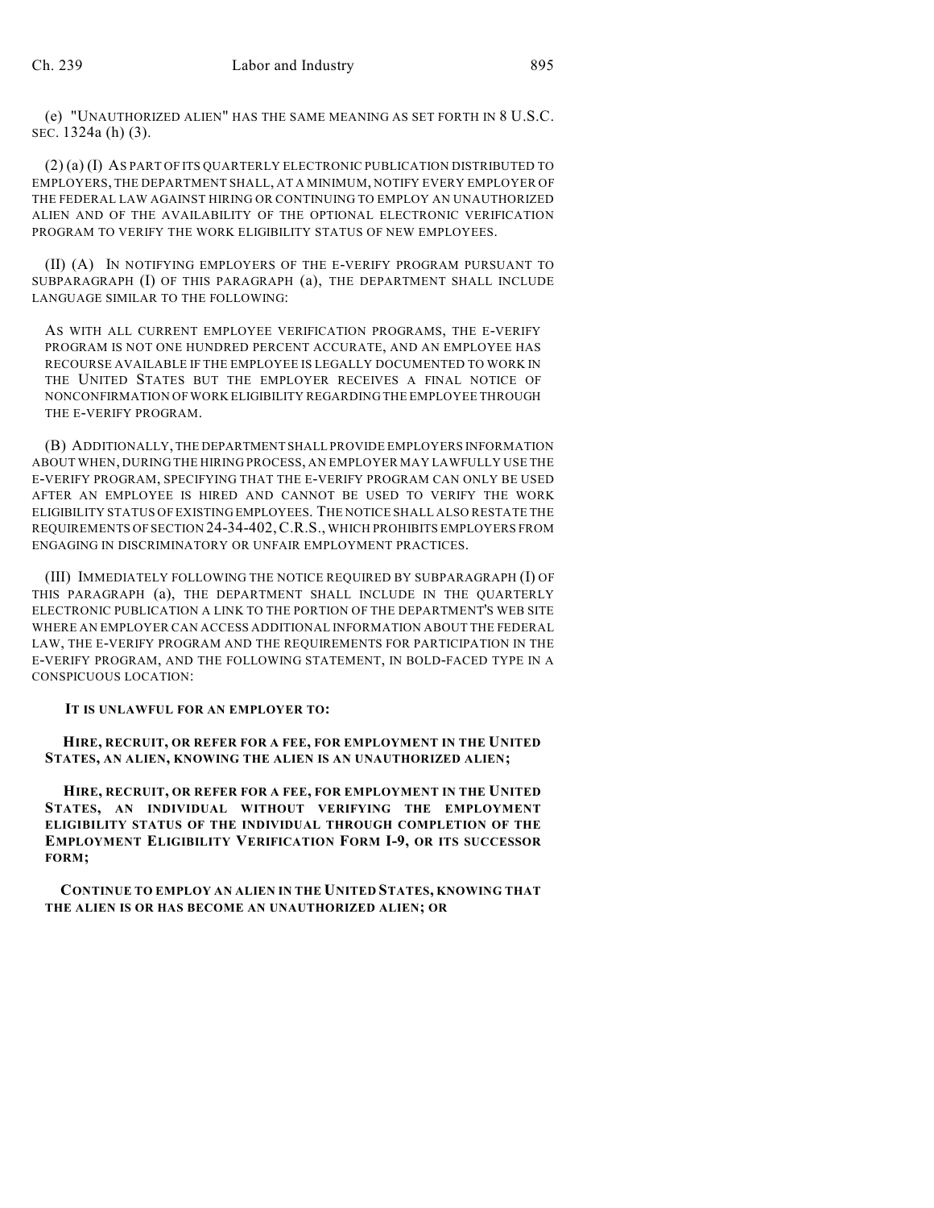(e) "UNAUTHORIZED ALIEN" HAS THE SAME MEANING AS SET FORTH IN 8 U.S.C. SEC. 1324a (h) (3).

(2) (a) (I) AS PART OF ITS QUARTERLY ELECTRONIC PUBLICATION DISTRIBUTED TO EMPLOYERS, THE DEPARTMENT SHALL, AT A MINIMUM, NOTIFY EVERY EMPLOYER OF THE FEDERAL LAW AGAINST HIRING OR CONTINUING TO EMPLOY AN UNAUTHORIZED ALIEN AND OF THE AVAILABILITY OF THE OPTIONAL ELECTRONIC VERIFICATION PROGRAM TO VERIFY THE WORK ELIGIBILITY STATUS OF NEW EMPLOYEES.

(II) (A) IN NOTIFYING EMPLOYERS OF THE E-VERIFY PROGRAM PURSUANT TO SUBPARAGRAPH (I) OF THIS PARAGRAPH (a), THE DEPARTMENT SHALL INCLUDE LANGUAGE SIMILAR TO THE FOLLOWING:

AS WITH ALL CURRENT EMPLOYEE VERIFICATION PROGRAMS, THE E-VERIFY PROGRAM IS NOT ONE HUNDRED PERCENT ACCURATE, AND AN EMPLOYEE HAS RECOURSE AVAILABLE IF THE EMPLOYEE IS LEGALLY DOCUMENTED TO WORK IN THE UNITED STATES BUT THE EMPLOYER RECEIVES A FINAL NOTICE OF NONCONFIRMATION OF WORK ELIGIBILITY REGARDING THE EMPLOYEE THROUGH THE E-VERIFY PROGRAM.

(B) ADDITIONALLY, THE DEPARTMENT SHALL PROVIDE EMPLOYERS INFORMATION ABOUT WHEN, DURING THE HIRING PROCESS, AN EMPLOYER MAY LAWFULLY USE THE E-VERIFY PROGRAM, SPECIFYING THAT THE E-VERIFY PROGRAM CAN ONLY BE USED AFTER AN EMPLOYEE IS HIRED AND CANNOT BE USED TO VERIFY THE WORK ELIGIBILITY STATUS OF EXISTING EMPLOYEES. THE NOTICE SHALL ALSO RESTATE THE REQUIREMENTS OF SECTION 24-34-402,C.R.S., WHICH PROHIBITS EMPLOYERS FROM ENGAGING IN DISCRIMINATORY OR UNFAIR EMPLOYMENT PRACTICES.

(III) IMMEDIATELY FOLLOWING THE NOTICE REQUIRED BY SUBPARAGRAPH (I) OF THIS PARAGRAPH (a), THE DEPARTMENT SHALL INCLUDE IN THE QUARTERLY ELECTRONIC PUBLICATION A LINK TO THE PORTION OF THE DEPARTMENT'S WEB SITE WHERE AN EMPLOYER CAN ACCESS ADDITIONAL INFORMATION ABOUT THE FEDERAL LAW, THE E-VERIFY PROGRAM AND THE REQUIREMENTS FOR PARTICIPATION IN THE E-VERIFY PROGRAM, AND THE FOLLOWING STATEMENT, IN BOLD-FACED TYPE IN A CONSPICUOUS LOCATION:

**IT IS UNLAWFUL FOR AN EMPLOYER TO:**

 **HIRE, RECRUIT, OR REFER FOR A FEE, FOR EMPLOYMENT IN THE UNITED STATES, AN ALIEN, KNOWING THE ALIEN IS AN UNAUTHORIZED ALIEN;**

 **HIRE, RECRUIT, OR REFER FOR A FEE, FOR EMPLOYMENT IN THE UNITED STATES, AN INDIVIDUAL WITHOUT VERIFYING THE EMPLOYMENT ELIGIBILITY STATUS OF THE INDIVIDUAL THROUGH COMPLETION OF THE EMPLOYMENT ELIGIBILITY VERIFICATION FORM I-9, OR ITS SUCCESSOR FORM;**

 **CONTINUE TO EMPLOY AN ALIEN IN THE UNITED STATES, KNOWING THAT THE ALIEN IS OR HAS BECOME AN UNAUTHORIZED ALIEN; OR**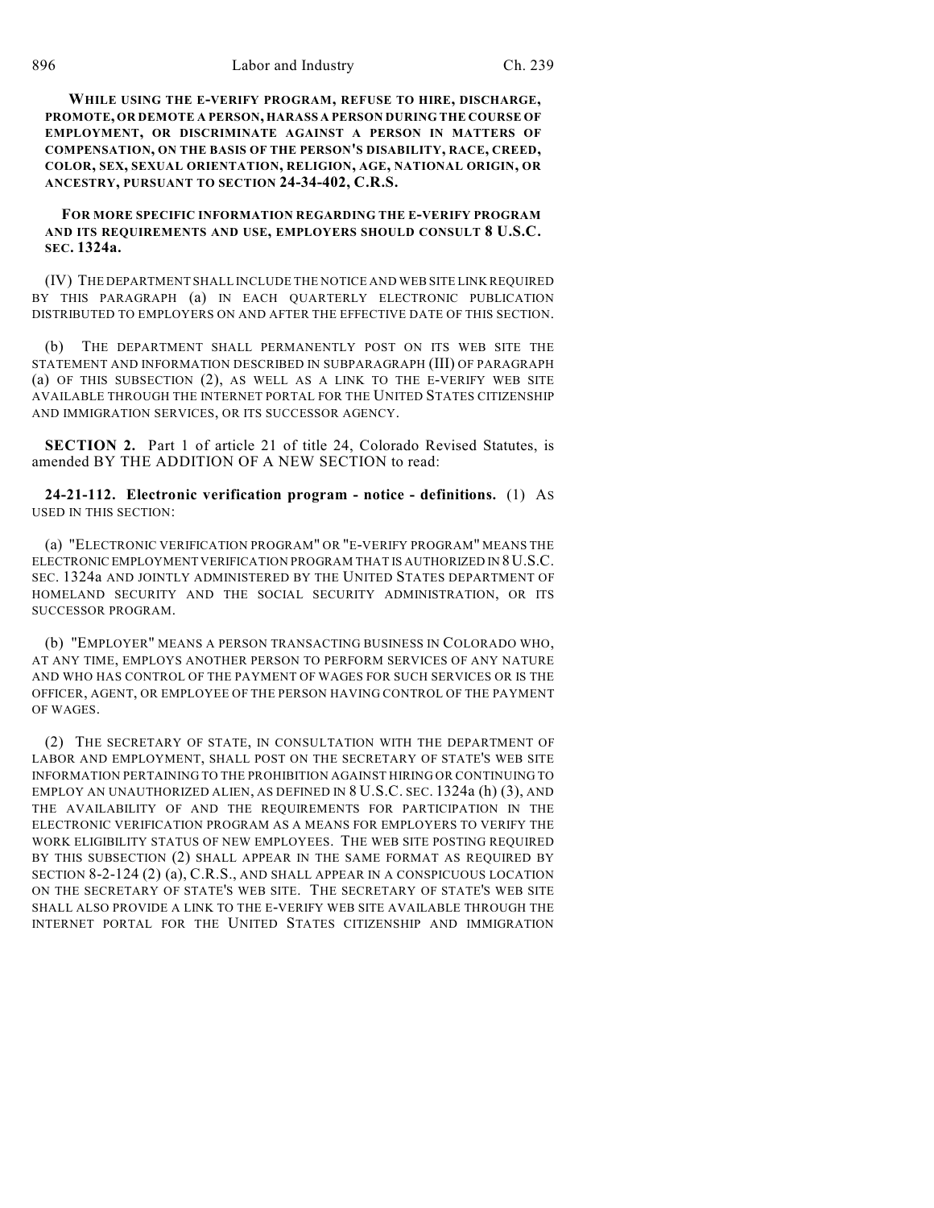**WHILE USING THE E-VERIFY PROGRAM, REFUSE TO HIRE, DISCHARGE, PROMOTE, OR DEMOTE A PERSON, HARASS A PERSON DURING THE COURSE OF EMPLOYMENT, OR DISCRIMINATE AGAINST A PERSON IN MATTERS OF COMPENSATION, ON THE BASIS OF THE PERSON'S DISABILITY, RACE, CREED, COLOR, SEX, SEXUAL ORIENTATION, RELIGION, AGE, NATIONAL ORIGIN, OR ANCESTRY, PURSUANT TO SECTION 24-34-402, C.R.S.**

 **FOR MORE SPECIFIC INFORMATION REGARDING THE E-VERIFY PROGRAM AND ITS REQUIREMENTS AND USE, EMPLOYERS SHOULD CONSULT 8 U.S.C. SEC. 1324a.**

(IV) THE DEPARTMENT SHALL INCLUDE THE NOTICE AND WEB SITE LINK REQUIRED BY THIS PARAGRAPH (a) IN EACH QUARTERLY ELECTRONIC PUBLICATION DISTRIBUTED TO EMPLOYERS ON AND AFTER THE EFFECTIVE DATE OF THIS SECTION.

(b) THE DEPARTMENT SHALL PERMANENTLY POST ON ITS WEB SITE THE STATEMENT AND INFORMATION DESCRIBED IN SUBPARAGRAPH (III) OF PARAGRAPH (a) OF THIS SUBSECTION (2), AS WELL AS A LINK TO THE E-VERIFY WEB SITE AVAILABLE THROUGH THE INTERNET PORTAL FOR THE UNITED STATES CITIZENSHIP AND IMMIGRATION SERVICES, OR ITS SUCCESSOR AGENCY.

**SECTION 2.** Part 1 of article 21 of title 24, Colorado Revised Statutes, is amended BY THE ADDITION OF A NEW SECTION to read:

**24-21-112. Electronic verification program - notice - definitions.** (1) AS USED IN THIS SECTION:

(a) "ELECTRONIC VERIFICATION PROGRAM" OR "E-VERIFY PROGRAM" MEANS THE ELECTRONIC EMPLOYMENT VERIFICATION PROGRAM THAT IS AUTHORIZED IN 8 U.S.C. SEC. 1324a AND JOINTLY ADMINISTERED BY THE UNITED STATES DEPARTMENT OF HOMELAND SECURITY AND THE SOCIAL SECURITY ADMINISTRATION, OR ITS SUCCESSOR PROGRAM.

(b) "EMPLOYER" MEANS A PERSON TRANSACTING BUSINESS IN COLORADO WHO, AT ANY TIME, EMPLOYS ANOTHER PERSON TO PERFORM SERVICES OF ANY NATURE AND WHO HAS CONTROL OF THE PAYMENT OF WAGES FOR SUCH SERVICES OR IS THE OFFICER, AGENT, OR EMPLOYEE OF THE PERSON HAVING CONTROL OF THE PAYMENT OF WAGES.

(2) THE SECRETARY OF STATE, IN CONSULTATION WITH THE DEPARTMENT OF LABOR AND EMPLOYMENT, SHALL POST ON THE SECRETARY OF STATE'S WEB SITE INFORMATION PERTAINING TO THE PROHIBITION AGAINST HIRING OR CONTINUING TO EMPLOY AN UNAUTHORIZED ALIEN, AS DEFINED IN 8 U.S.C. SEC. 1324a (h) (3), AND THE AVAILABILITY OF AND THE REQUIREMENTS FOR PARTICIPATION IN THE ELECTRONIC VERIFICATION PROGRAM AS A MEANS FOR EMPLOYERS TO VERIFY THE WORK ELIGIBILITY STATUS OF NEW EMPLOYEES. THE WEB SITE POSTING REQUIRED BY THIS SUBSECTION (2) SHALL APPEAR IN THE SAME FORMAT AS REQUIRED BY SECTION 8-2-124 (2) (a), C.R.S., AND SHALL APPEAR IN A CONSPICUOUS LOCATION ON THE SECRETARY OF STATE'S WEB SITE. THE SECRETARY OF STATE'S WEB SITE SHALL ALSO PROVIDE A LINK TO THE E-VERIFY WEB SITE AVAILABLE THROUGH THE INTERNET PORTAL FOR THE UNITED STATES CITIZENSHIP AND IMMIGRATION